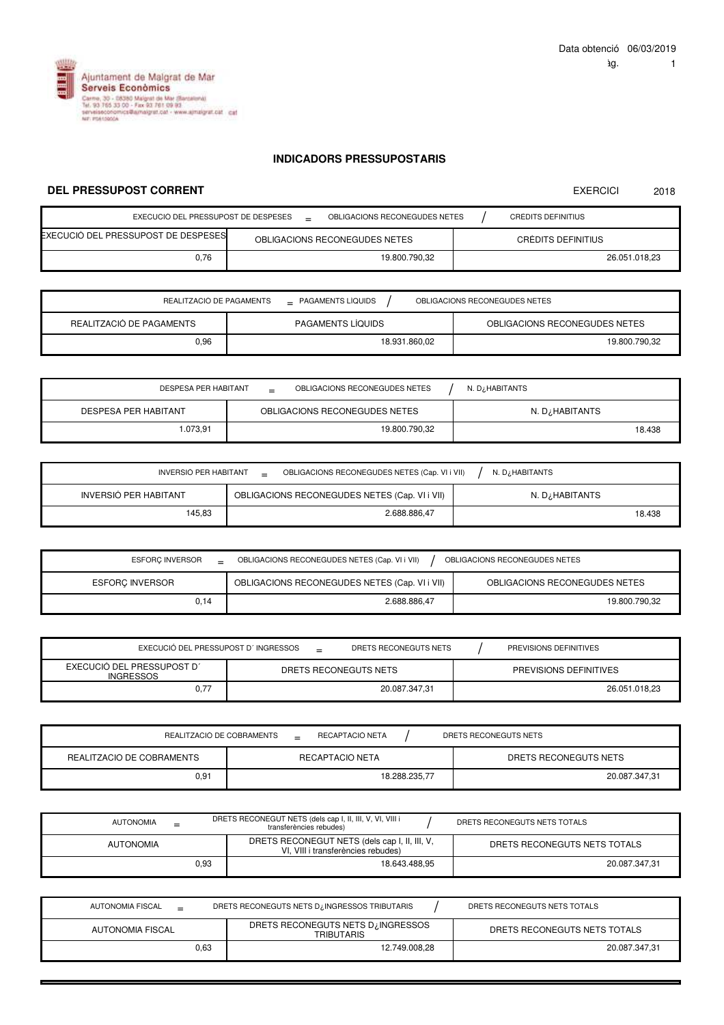EXERCICI 2018



## **INDICADORS PRESSUPOSTARIS**

## **DEL PRESSUPOST CORRENT**

| EXECUCIÓ DEL PRESSUPOST DE DESPESES   |  | OBLIGACIONS RECONEGUDES NETES |  | CRÈDITS DEFINITIUS |
|---------------------------------------|--|-------------------------------|--|--------------------|
| EXECUCIÓ DEL PRESSUPOST DE DESPESES I |  | OBLIGACIONS RECONEGUDES NETES |  | CRÈDITS DEFINITIUS |
| 0.76                                  |  | 19.800.790.32                 |  | 26.051.018.23      |

| REALITZACIÓ DE PAGAMENTS<br>$\_$ PAGAMENTS LIQUIDS<br>OBLIGACIONS RECONEGUDES NETES |                          |                               |  |  |  |
|-------------------------------------------------------------------------------------|--------------------------|-------------------------------|--|--|--|
| REALITZACIÓ DE PAGAMENTS                                                            | <b>PAGAMENTS LIQUIDS</b> | OBLIGACIONS RECONEGUDES NETES |  |  |  |
| 0.96                                                                                | 18.931.860,02            | 19.800.790.32                 |  |  |  |

| <b>DESPESA PER HABITANT</b> | OBLIGACIONS RECONEGUDES NETES<br>$=$ | N. D¿HABITANTS |
|-----------------------------|--------------------------------------|----------------|
| DESPESA PER HABITANT        | OBLIGACIONS RECONEGUDES NETES        | N. D¿HABITANTS |
| .073.91                     | 19.800.790.32                        | 18.438         |

| INVERSIÓ PER HABITANT<br>OBLIGACIONS RECONEGUDES NETES (Cap. VI i VII)<br>N. D. HABITANTS |              |        |  |  |  |
|-------------------------------------------------------------------------------------------|--------------|--------|--|--|--|
| INVERSIÓ PER HABITANT<br>OBLIGACIONS RECONEGUDES NETES (Cap. VI i VII)<br>N. D¿HABITANTS  |              |        |  |  |  |
| 145,83                                                                                    | 2.688.886.47 | 18.438 |  |  |  |

| <b>ESFORC INVERSOR</b> | OBLIGACIONS RECONEGUDES NETES<br>OBLIGACIONS RECONEGUDES NETES (Cap. VI i VII) |                               |  |  |  |  |
|------------------------|--------------------------------------------------------------------------------|-------------------------------|--|--|--|--|
| <b>ESFORC INVERSOR</b> | OBLIGACIONS RECONEGUDES NETES (Cap. VI i VII)                                  | OBLIGACIONS RECONEGUDES NETES |  |  |  |  |
| 0.14                   | 2.688.886.47                                                                   | 19.800.790.32                 |  |  |  |  |

| EXECUCIÓ DEL PRESSUPOST D'INGRESSOS            | $=$ | DRETS RECONEGUTS NETS | PREVISIONS DEFINITIVES |
|------------------------------------------------|-----|-----------------------|------------------------|
| EXECUCIÓ DEL PRESSUPOST D'<br><b>INGRESSOS</b> |     | DRETS RECONEGUTS NETS | PREVISIONS DEFINITIVES |
|                                                |     | 20.087.347.31         | 26.051.018.23          |

| REALITZACIÓ DE COBRAMENTS | RECAPTACIÓ NETA<br>$=$ |  | DRETS RECONEGUTS NETS |
|---------------------------|------------------------|--|-----------------------|
| REALITZACIÓ DE COBRAMENTS | RECAPTACIÓ NETA        |  | DRETS RECONEGUTS NETS |
| 0,91                      | 18.288.235.77          |  | 20.087.347,31         |

| AUTONOMIA        | $=$  | DRETS RECONEGUT NETS (dels cap I, II, III, V, VI, VIII i<br>transferències rebudes) |  | DRETS RECONEGUTS NETS TOTALS |
|------------------|------|-------------------------------------------------------------------------------------|--|------------------------------|
| <b>AUTONOMIA</b> |      | DRETS RECONEGUT NETS (dels cap I, II, III, V,<br>VI, VIII i transferències rebudes) |  | DRETS RECONEGUTS NETS TOTALS |
|                  | 0.93 | 18.643.488.95                                                                       |  | 20.087.347.31                |

| AUTONOMIA FISCAL | DRETS RECONEGUTS NETS D <sub>i</sub> INGRESSOS TRIBUTARIS | DRETS RECONEGUTS NETS TOTALS |
|------------------|-----------------------------------------------------------|------------------------------|
| AUTONOMIA FISCAL | DRETS RECONEGUTS NETS D. INGRESSOS<br>TRIBUTARIS          | DRETS RECONEGUTS NETS TOTALS |
| 0.63             | 12.749.008.28                                             | 20.087.347.31                |